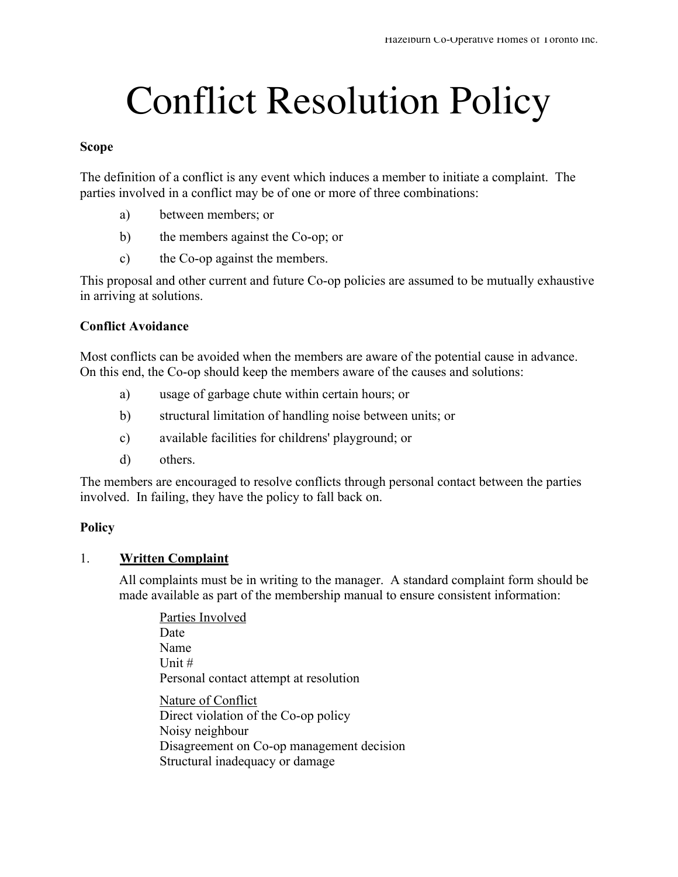# Conflict Resolution Policy

#### **Scope**

The definition of a conflict is any event which induces a member to initiate a complaint. The parties involved in a conflict may be of one or more of three combinations:

- a) between members; or
- b) the members against the Co-op; or
- c) the Co-op against the members.

This proposal and other current and future Co-op policies are assumed to be mutually exhaustive in arriving at solutions.

# **Conflict Avoidance**

Most conflicts can be avoided when the members are aware of the potential cause in advance. On this end, the Co-op should keep the members aware of the causes and solutions:

- a) usage of garbage chute within certain hours; or
- b) structural limitation of handling noise between units; or
- c) available facilities for childrens' playground; or
- d) others.

The members are encouraged to resolve conflicts through personal contact between the parties involved. In failing, they have the policy to fall back on.

#### **Policy**

#### 1. **Written Complaint**

All complaints must be in writing to the manager. A standard complaint form should be made available as part of the membership manual to ensure consistent information:

Parties Involved Date Name Unit # Personal contact attempt at resolution Nature of Conflict Direct violation of the Co-op policy Noisy neighbour Disagreement on Co-op management decision Structural inadequacy or damage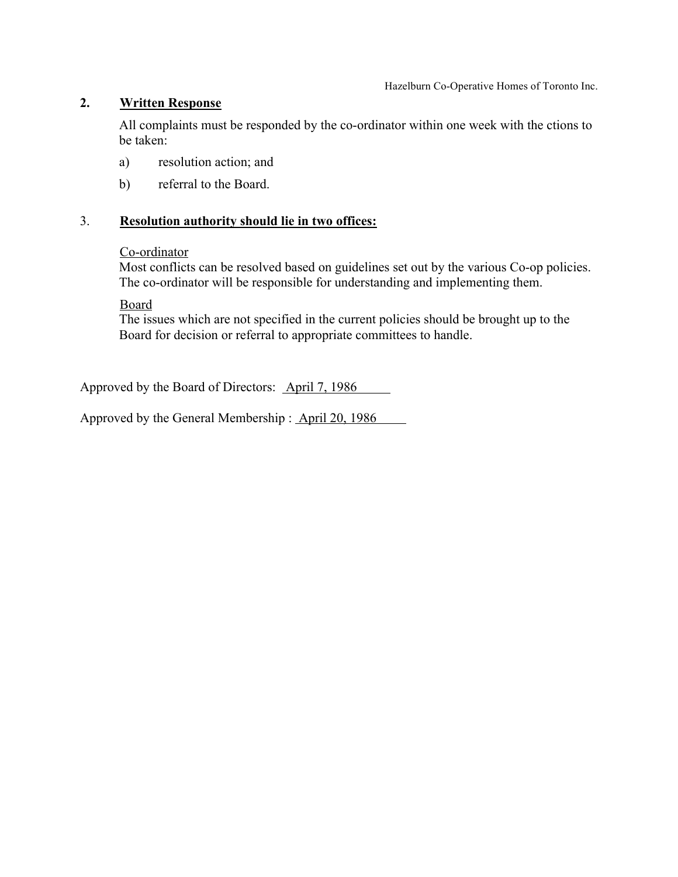Hazelburn Co-Operative Homes of Toronto Inc.

# **2. Written Response**

All complaints must be responded by the co-ordinator within one week with the ctions to be taken:

- a) resolution action; and
- b) referral to the Board.

# 3. **Resolution authority should lie in two offices:**

#### Co-ordinator

Most conflicts can be resolved based on guidelines set out by the various Co-op policies. The co-ordinator will be responsible for understanding and implementing them.

Board

The issues which are not specified in the current policies should be brought up to the Board for decision or referral to appropriate committees to handle.

Approved by the Board of Directors: April 7, 1986

Approved by the General Membership : April 20, 1986